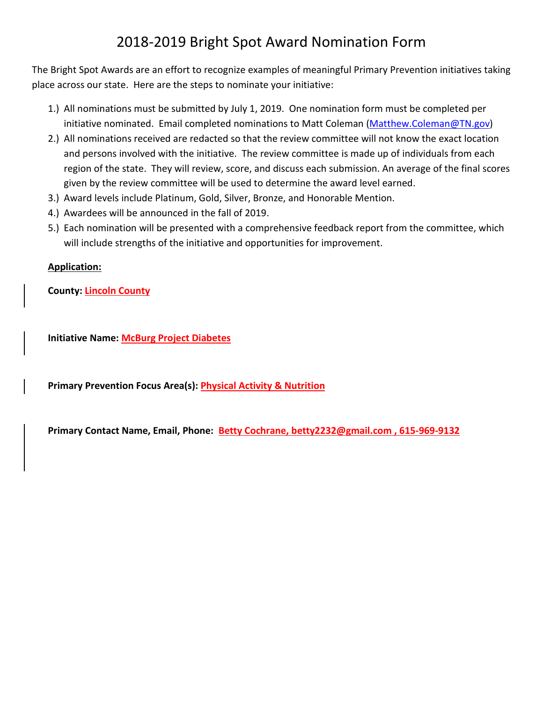## 2018-2019 Bright Spot Award Nomination Form

The Bright Spot Awards are an effort to recognize examples of meaningful Primary Prevention initiatives taking place across our state. Here are the steps to nominate your initiative:

- 1.) All nominations must be submitted by July 1, 2019. One nomination form must be completed per initiative nominated. Email completed nominations to Matt Coleman [\(Matthew.Coleman@TN.gov\)](mailto:Matthew.Coleman@TN.gov)
- 2.) All nominations received are redacted so that the review committee will not know the exact location and persons involved with the initiative. The review committee is made up of individuals from each region of the state. They will review, score, and discuss each submission. An average of the final scores given by the review committee will be used to determine the award level earned.
- 3.) Award levels include Platinum, Gold, Silver, Bronze, and Honorable Mention.
- 4.) Awardees will be announced in the fall of 2019.
- 5.) Each nomination will be presented with a comprehensive feedback report from the committee, which will include strengths of the initiative and opportunities for improvement.

## **Application:**

**County: Lincoln County** 

**Initiative Name: McBurg Project Diabetes** 

**Primary Prevention Focus Area(s): Physical Activity & Nutrition**

**Primary Contact Name, Email, Phone: Betty Cochrane, betty2232@gmail.com , 615-969-9132**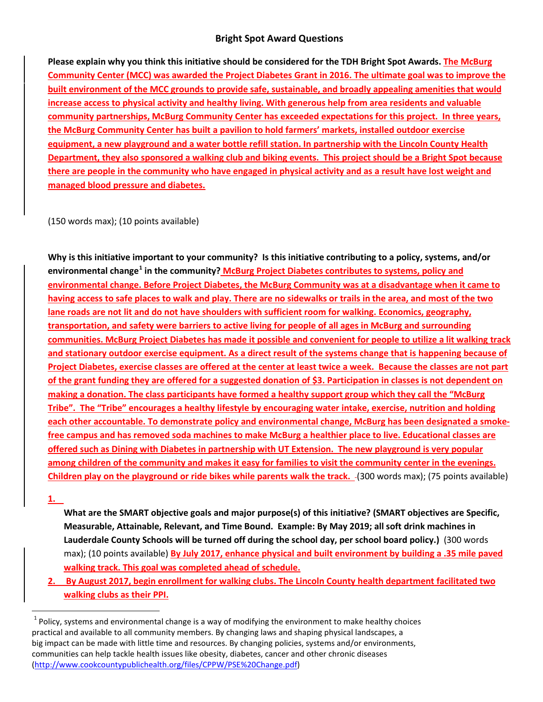## **Bright Spot Award Questions**

**Please explain why you think this initiative should be considered for the TDH Bright Spot Awards. The McBurg Community Center (MCC) was awarded the Project Diabetes Grant in 2016. The ultimate goal was to improve the built environment of the MCC grounds to provide safe, sustainable, and broadly appealing amenities that would increase access to physical activity and healthy living. With generous help from area residents and valuable community partnerships, McBurg Community Center has exceeded expectations for this project. In three years, the McBurg Community Center has built a pavilion to hold farmers' markets, installed outdoor exercise equipment, a new playground and a water bottle refill station. In partnership with the Lincoln County Health Department, they also sponsored a walking club and biking events. This project should be a Bright Spot because there are people in the community who have engaged in physical activity and as a result have lost weight and managed blood pressure and diabetes.** 

(150 words max); (10 points available)

**Why is this initiative important to your community? Is this initiative contributing to a policy, systems, and/or environmental change[1](#page-1-0) in the community? McBurg Project Diabetes contributes to systems, policy and environmental change. Before Project Diabetes, the McBurg Community was at a disadvantage when it came to having access to safe places to walk and play. There are no sidewalks or trails in the area, and most of the two lane roads are not lit and do not have shoulders with sufficient room for walking. Economics, geography, transportation, and safety were barriers to active living for people of all ages in McBurg and surrounding communities. McBurg Project Diabetes has made it possible and convenient for people to utilize a lit walking track and stationary outdoor exercise equipment. As a direct result of the systems change that is happening because of Project Diabetes, exercise classes are offered at the center at least twice a week. Because the classes are not part of the grant funding they are offered for a suggested donation of \$3. Participation in classes is not dependent on making a donation. The class participants have formed a healthy support group which they call the "McBurg Tribe". The "Tribe" encourages a healthy lifestyle by encouraging water intake, exercise, nutrition and holding each other accountable. To demonstrate policy and environmental change, McBurg has been designated a smokefree campus and has removed soda machines to make McBurg a healthier place to live. Educational classes are offered such as Dining with Diabetes in partnership with UT Extension. The new playground is very popular among children of the community and makes it easy for families to visit the community center in the evenings. Children play on the playground or ride bikes while parents walk the track.** -(300 words max); (75 points available)

**1.**

 $\overline{\phantom{a}}$ 

**What are the SMART objective goals and major purpose(s) of this initiative? (SMART objectives are Specific, Measurable, Attainable, Relevant, and Time Bound. Example: By May 2019; all soft drink machines in Lauderdale County Schools will be turned off during the school day, per school board policy.)** (300 words max); (10 points available) **By July 2017, enhance physical and built environment by building a .35 mile paved walking track. This goal was completed ahead of schedule.**

**2. By August 2017, begin enrollment for walking clubs. The Lincoln County health department facilitated two walking clubs as their PPI.**

<span id="page-1-0"></span> $1$  Policy, systems and environmental change is a way of modifying the environment to make healthy choices practical and available to all community members. By changing laws and shaping physical landscapes, a big impact can be made with little time and resources. By changing policies, systems and/or environments, communities can help tackle health issues like obesity, diabetes, cancer and other chronic diseases [\(http://www.cookcountypublichealth.org/files/CPPW/PSE%20Change.pdf\)](http://www.cookcountypublichealth.org/files/CPPW/PSE%20Change.pdf)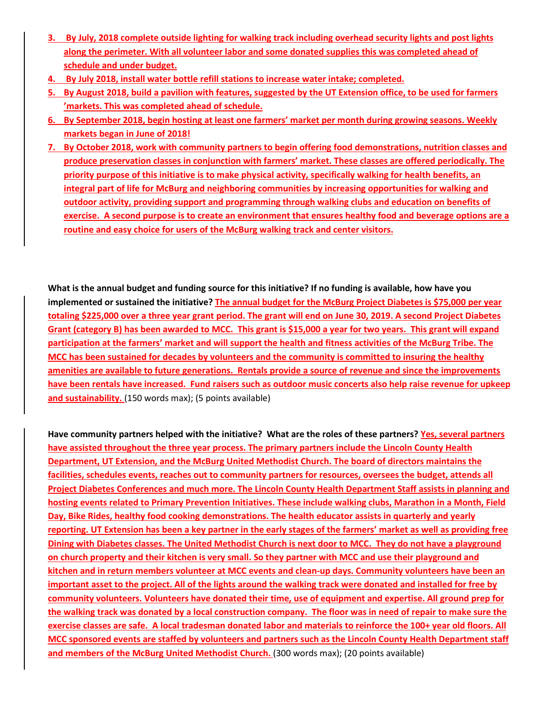- **3. By July, 2018 complete outside lighting for walking track including overhead security lights and post lights along the perimeter. With all volunteer labor and some donated supplies this was completed ahead of schedule and under budget.**
- **4. By July 2018, install water bottle refill stations to increase water intake; completed.**
- **5. By August 2018, build a pavilion with features, suggested by the UT Extension office, to be used for farmers 'markets. This was completed ahead of schedule.**
- **6. By September 2018, begin hosting at least one farmers' market per month during growing seasons. Weekly markets began in June of 2018!**
- **7. By October 2018, work with community partners to begin offering food demonstrations, nutrition classes and produce preservation classes in conjunction with farmers' market. These classes are offered periodically. The priority purpose of this initiative is to make physical activity, specifically walking for health benefits, an integral part of life for McBurg and neighboring communities by increasing opportunities for walking and outdoor activity, providing support and programming through walking clubs and education on benefits of exercise. A second purpose is to create an environment that ensures healthy food and beverage options are a routine and easy choice for users of the McBurg walking track and center visitors.**

**What is the annual budget and funding source for this initiative? If no funding is available, how have you implemented or sustained the initiative? The annual budget for the McBurg Project Diabetes is \$75,000 per year totaling \$225,000 over a three year grant period. The grant will end on June 30, 2019. A second Project Diabetes Grant (category B) has been awarded to MCC. This grant is \$15,000 a year for two years. This grant will expand participation at the farmers' market and will support the health and fitness activities of the McBurg Tribe. The MCC has been sustained for decades by volunteers and the community is committed to insuring the healthy amenities are available to future generations. Rentals provide a source of revenue and since the improvements have been rentals have increased. Fund raisers such as outdoor music concerts also help raise revenue for upkeep and sustainability.** (150 words max); (5 points available)

**Have community partners helped with the initiative? What are the roles of these partners? Yes, several partners have assisted throughout the three year process. The primary partners include the Lincoln County Health Department, UT Extension, and the McBurg United Methodist Church. The board of directors maintains the facilities, schedules events, reaches out to community partners for resources, oversees the budget, attends all Project Diabetes Conferences and much more. The Lincoln County Health Department Staff assists in planning and hosting events related to Primary Prevention Initiatives. These include walking clubs, Marathon in a Month, Field Day, Bike Rides, healthy food cooking demonstrations. The health educator assists in quarterly and yearly reporting. UT Extension has been a key partner in the early stages of the farmers' market as well as providing free Dining with Diabetes classes. The United Methodist Church is next door to MCC. They do not have a playground on church property and their kitchen is very small. So they partner with MCC and use their playground and kitchen and in return members volunteer at MCC events and clean-up days. Community volunteers have been an important asset to the project. All of the lights around the walking track were donated and installed for free by community volunteers. Volunteers have donated their time, use of equipment and expertise. All ground prep for the walking track was donated by a local construction company. The floor was in need of repair to make sure the exercise classes are safe. A local tradesman donated labor and materials to reinforce the 100+ year old floors. All MCC sponsored events are staffed by volunteers and partners such as the Lincoln County Health Department staff**  and members of the McBurg United Methodist Church. (300 words max); (20 points available)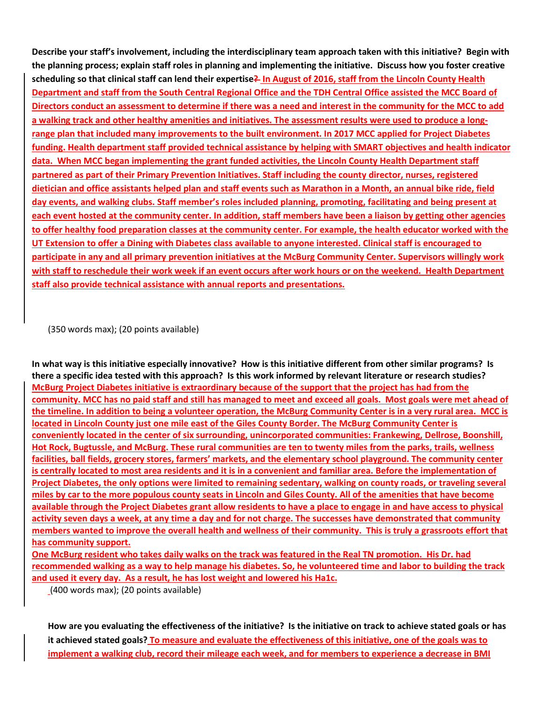**Describe your staff's involvement, including the interdisciplinary team approach taken with this initiative? Begin with the planning process; explain staff roles in planning and implementing the initiative. Discuss how you foster creative scheduling so that clinical staff can lend their expertise? In August of 2016, staff from the Lincoln County Health Department and staff from the South Central Regional Office and the TDH Central Office assisted the MCC Board of Directors conduct an assessment to determine if there was a need and interest in the community for the MCC to add a walking track and other healthy amenities and initiatives. The assessment results were used to produce a longrange plan that included many improvements to the built environment. In 2017 MCC applied for Project Diabetes funding. Health department staff provided technical assistance by helping with SMART objectives and health indicator data. When MCC began implementing the grant funded activities, the Lincoln County Health Department staff partnered as part of their Primary Prevention Initiatives. Staff including the county director, nurses, registered dietician and office assistants helped plan and staff events such as Marathon in a Month, an annual bike ride, field day events, and walking clubs. Staff member's roles included planning, promoting, facilitating and being present at each event hosted at the community center. In addition, staff members have been a liaison by getting other agencies to offer healthy food preparation classes at the community center. For example, the health educator worked with the UT Extension to offer a Dining with Diabetes class available to anyone interested. Clinical staff is encouraged to participate in any and all primary prevention initiatives at the McBurg Community Center. Supervisors willingly work with staff to reschedule their work week if an event occurs after work hours or on the weekend. Health Department staff also provide technical assistance with annual reports and presentations.** 

(350 words max); (20 points available)

**In what way is this initiative especially innovative? How is this initiative different from other similar programs? Is there a specific idea tested with this approach? Is this work informed by relevant literature or research studies? McBurg Project Diabetes initiative is extraordinary because of the support that the project has had from the community. MCC has no paid staff and still has managed to meet and exceed all goals. Most goals were met ahead of the timeline. In addition to being a volunteer operation, the McBurg Community Center is in a very rural area. MCC is located in Lincoln County just one mile east of the Giles County Border. The McBurg Community Center is conveniently located in the center of six surrounding, unincorporated communities: Frankewing, Dellrose, Boonshill, Hot Rock, Bugtussle, and McBurg. These rural communities are ten to twenty miles from the parks, trails, wellness facilities, ball fields, grocery stores, farmers' markets, and the elementary school playground. The community center is centrally located to most area residents and it is in a convenient and familiar area. Before the implementation of Project Diabetes, the only options were limited to remaining sedentary, walking on county roads, or traveling several miles by car to the more populous county seats in Lincoln and Giles County. All of the amenities that have become available through the Project Diabetes grant allow residents to have a place to engage in and have access to physical activity seven days a week, at any time a day and for not charge. The successes have demonstrated that community members wanted to improve the overall health and wellness of their community. This is truly a grassroots effort that has community support.** 

**One McBurg resident who takes daily walks on the track was featured in the Real TN promotion. His Dr. had recommended walking as a way to help manage his diabetes. So, he volunteered time and labor to building the track and used it every day. As a result, he has lost weight and lowered his Ha1c.**

(400 words max); (20 points available)

**How are you evaluating the effectiveness of the initiative? Is the initiative on track to achieve stated goals or has it achieved stated goals? To measure and evaluate the effectiveness of this initiative, one of the goals was to implement a walking club, record their mileage each week, and for members to experience a decrease in BMI**